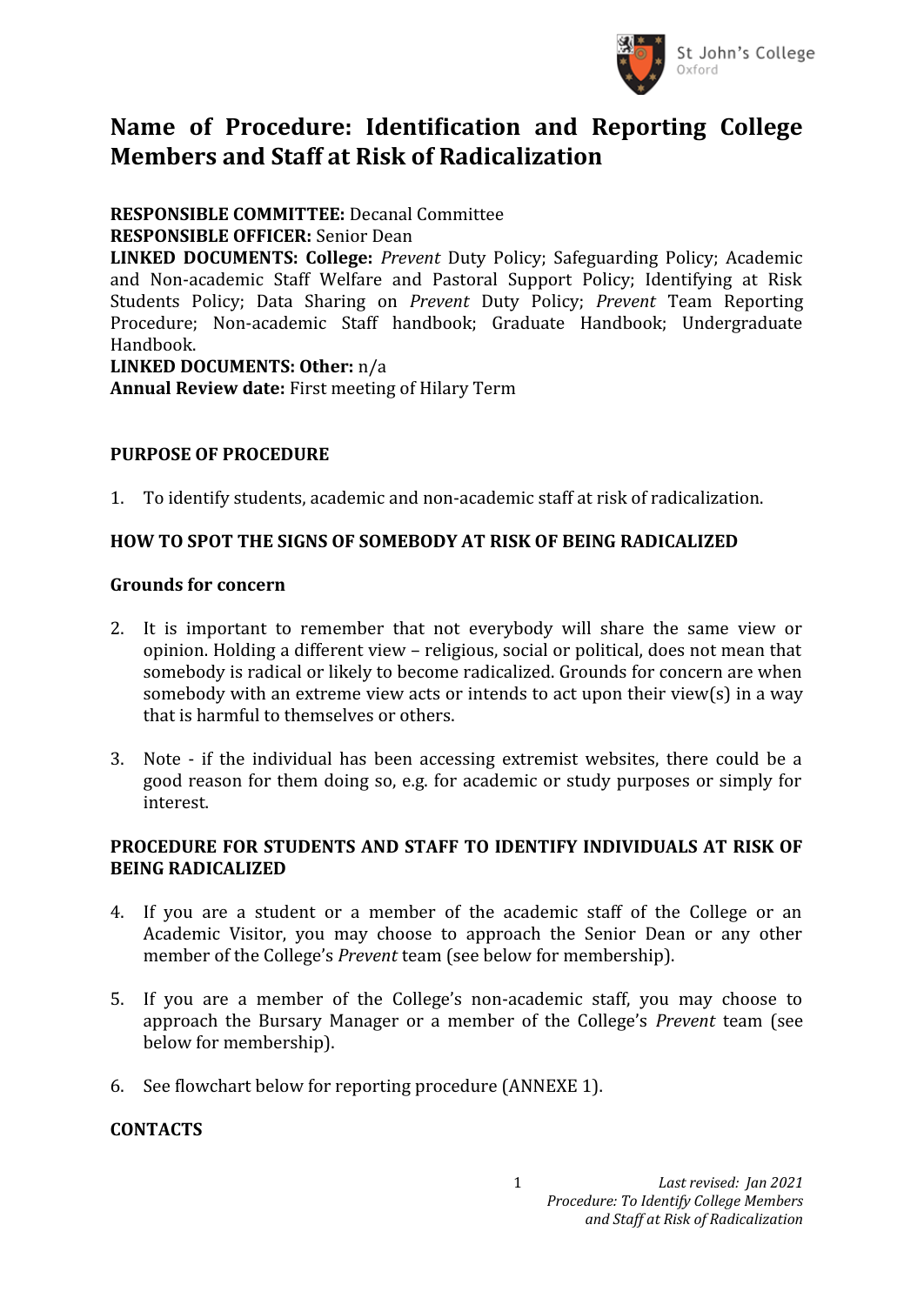

# **Name of Procedure: Identification and Reporting College Members and Staff at Risk of Radicalization**

# **RESPONSIBLE COMMITTEE:** Decanal Committee

#### **RESPONSIBLE OFFICER:** Senior Dean

**LINKED DOCUMENTS: College:** *Prevent* Duty Policy; Safeguarding Policy; Academic and Non-academic Staff Welfare and Pastoral Support Policy; Identifying at Risk Students Policy; Data Sharing on *Prevent* Duty Policy; *Prevent* Team Reporting Procedure; Non-academic Staff handbook; Graduate Handbook; Undergraduate Handbook.

#### **LINKED DOCUMENTS: Other:** n/a

**Annual Review date:** First meeting of Hilary Term

# **PURPOSE OF PROCEDURE**

1. To identify students, academic and non-academic staff at risk of radicalization.

## **HOW TO SPOT THE SIGNS OF SOMEBODY AT RISK OF BEING RADICALIZED**

#### **Grounds for concern**

- 2. It is important to remember that not everybody will share the same view or opinion. Holding a different view – religious, social or political, does not mean that somebody is radical or likely to become radicalized. Grounds for concern are when somebody with an extreme view acts or intends to act upon their view(s) in a way that is harmful to themselves or others.
- 3. Note if the individual has been accessing extremist websites, there could be a good reason for them doing so, e.g. for academic or study purposes or simply for interest.

## **PROCEDURE FOR STUDENTS AND STAFF TO IDENTIFY INDIVIDUALS AT RISK OF BEING RADICALIZED**

- 4. If you are a student or a member of the academic staff of the College or an Academic Visitor, you may choose to approach the Senior Dean or any other member of the College's *Prevent* team (see below for membership).
- 5. If you are a member of the College's non-academic staff, you may choose to approach the Bursary Manager or a member of the College's *Prevent* team (see below for membership).
- 6. See flowchart below for reporting procedure (ANNEXE 1).

## **CONTACTS**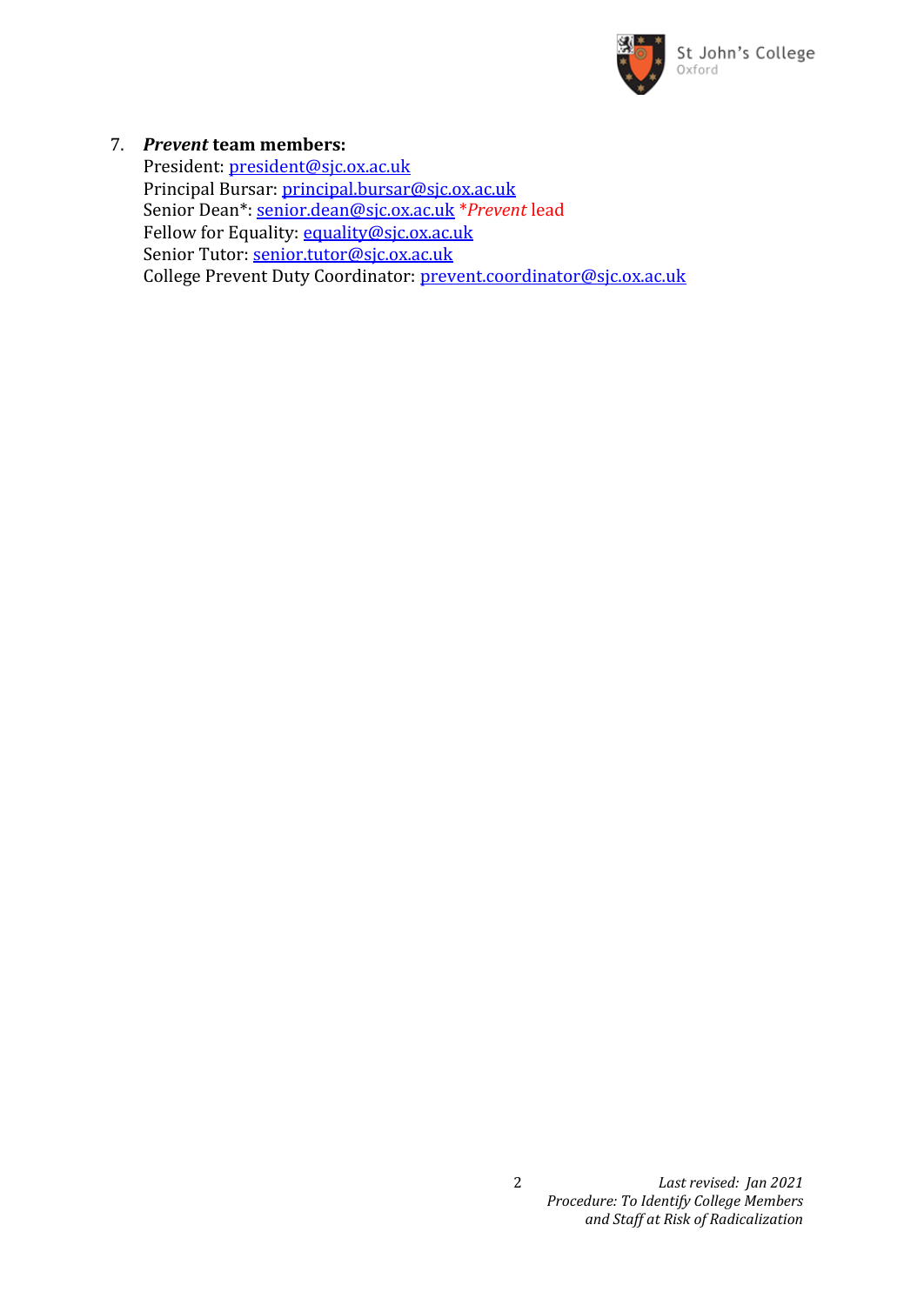

#### 7. *Prevent* **team members:**

President: president@sjc.ox.ac.uk Principal Bursar: [principal.bursar@sjc.ox.ac.uk](mailto:principal.bursar@sjc.ox.ac.uk) Senior Dea[n\\*: senior.dean@sjc.ox.ac.uk](mailto:*senior.dean@sjc.ox.ac.uk) \**Prevent* lead Fellow for Equality: [equality@sjc.ox.ac.uk](mailto:equality@sjc.ox.ac.uk) Senior Tutor: [senior.tutor@sjc.ox.ac.uk](mailto:senior.tutor@sjc.ox.ac.uk) College Prevent Duty Coordinator: [prevent.coordinator@sjc.ox.ac.uk](mailto:prevent.coordinator@sjc.ox.ac.uk)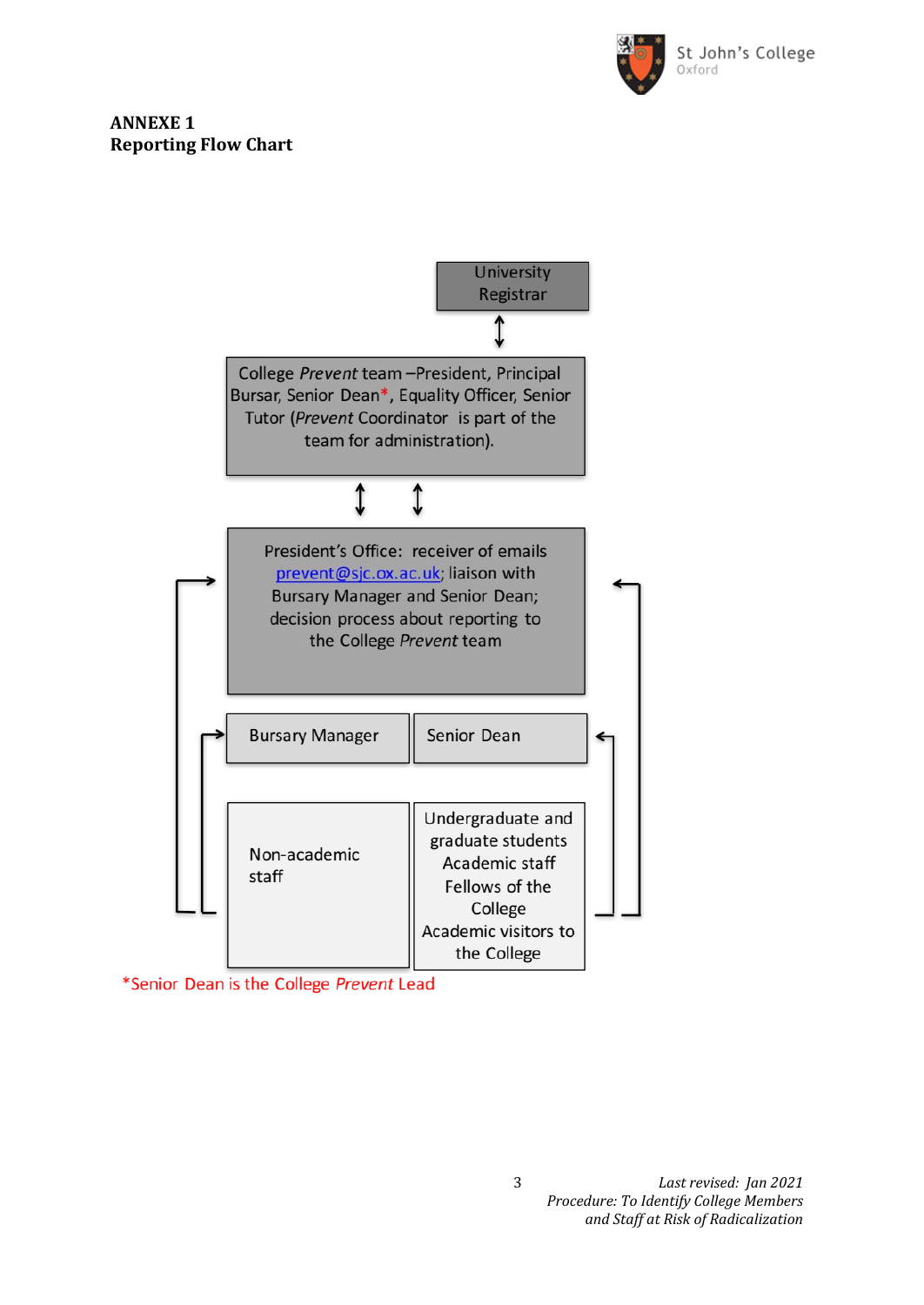

#### **ANNEXE 1 Reporting Flow Chart**



\*Senior Dean is the College Prevent Lead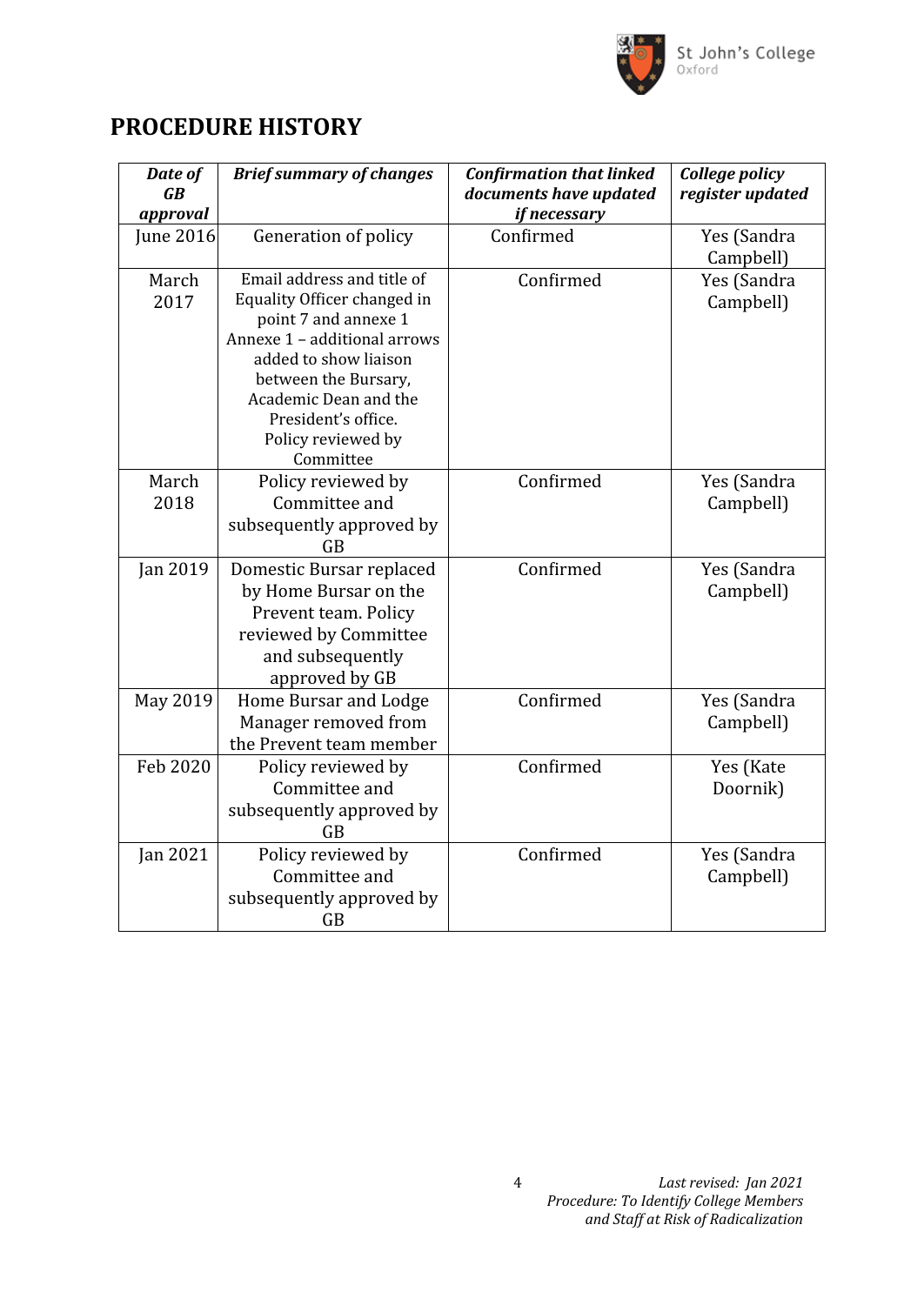

# **PROCEDURE HISTORY**

| Date of<br>$\overline{GB}$<br>approval | <b>Brief summary of changes</b>                     | <b>Confirmation that linked</b><br>documents have updated<br>if necessary | College policy<br>register updated |
|----------------------------------------|-----------------------------------------------------|---------------------------------------------------------------------------|------------------------------------|
| June 2016                              | Generation of policy                                | Confirmed                                                                 | Yes (Sandra                        |
|                                        |                                                     |                                                                           | Campbell)                          |
| March                                  | Email address and title of                          | Confirmed                                                                 | Yes (Sandra                        |
| 2017                                   | Equality Officer changed in<br>point 7 and annexe 1 |                                                                           | Campbell)                          |
|                                        | Annexe 1 - additional arrows                        |                                                                           |                                    |
|                                        | added to show liaison                               |                                                                           |                                    |
|                                        | between the Bursary,                                |                                                                           |                                    |
|                                        | Academic Dean and the                               |                                                                           |                                    |
|                                        | President's office.                                 |                                                                           |                                    |
|                                        | Policy reviewed by                                  |                                                                           |                                    |
|                                        | Committee                                           |                                                                           |                                    |
| March<br>2018                          | Policy reviewed by<br>Committee and                 | Confirmed                                                                 | Yes (Sandra                        |
|                                        |                                                     |                                                                           | Campbell)                          |
|                                        | subsequently approved by<br><b>GB</b>               |                                                                           |                                    |
| Jan 2019                               | Domestic Bursar replaced                            | Confirmed                                                                 | Yes (Sandra                        |
|                                        | by Home Bursar on the                               |                                                                           | Campbell)                          |
|                                        | Prevent team. Policy                                |                                                                           |                                    |
|                                        | reviewed by Committee                               |                                                                           |                                    |
|                                        | and subsequently                                    |                                                                           |                                    |
|                                        | approved by GB                                      |                                                                           |                                    |
| May 2019                               | Home Bursar and Lodge                               | Confirmed                                                                 | Yes (Sandra                        |
|                                        | Manager removed from                                |                                                                           | Campbell)                          |
|                                        | the Prevent team member                             |                                                                           |                                    |
| Feb 2020                               | Policy reviewed by                                  | Confirmed                                                                 | Yes (Kate                          |
|                                        | Committee and                                       |                                                                           | Doornik)                           |
|                                        | subsequently approved by                            |                                                                           |                                    |
|                                        | GB                                                  |                                                                           |                                    |
| Jan 2021                               | Policy reviewed by                                  | Confirmed                                                                 | Yes (Sandra                        |
|                                        | Committee and                                       |                                                                           | Campbell)                          |
|                                        | subsequently approved by                            |                                                                           |                                    |
|                                        | GB                                                  |                                                                           |                                    |